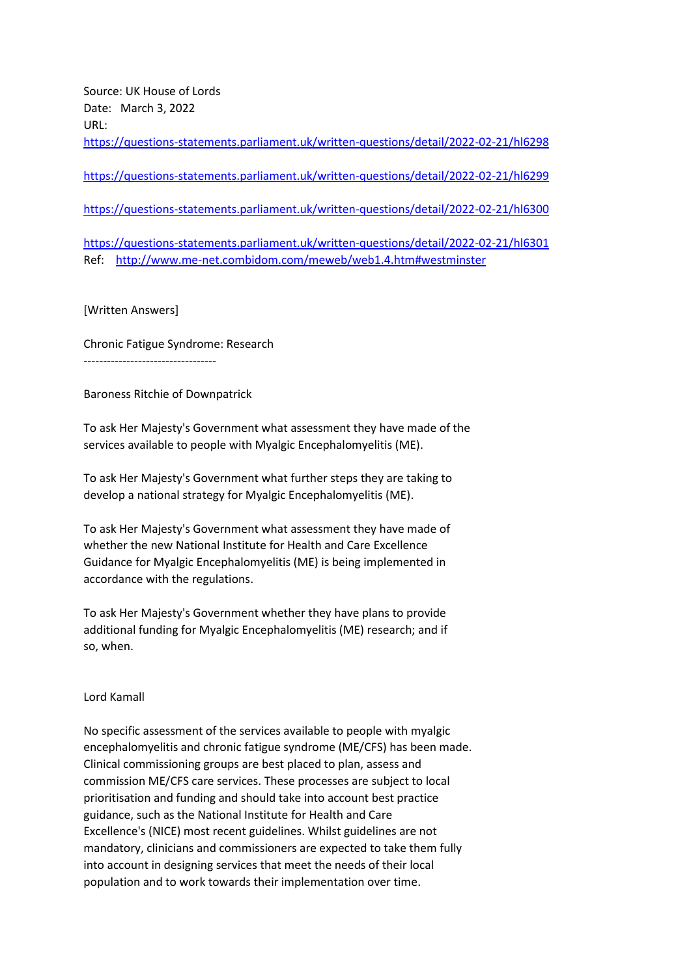Source: UK House of Lords Date: March 3, 2022 URL: <https://questions-statements.parliament.uk/written-questions/detail/2022-02-21/hl6298> <https://questions-statements.parliament.uk/written-questions/detail/2022-02-21/hl6299>

<https://questions-statements.parliament.uk/written-questions/detail/2022-02-21/hl6300>

<https://questions-statements.parliament.uk/written-questions/detail/2022-02-21/hl6301> Ref: <http://www.me-net.combidom.com/meweb/web1.4.htm#westminster>

## [Written Answers]

Chronic Fatigue Syndrome: Research ----------------------------------

## Baroness Ritchie of Downpatrick

To ask Her Majesty's Government what assessment they have made of the services available to people with Myalgic Encephalomyelitis (ME).

To ask Her Majesty's Government what further steps they are taking to develop a national strategy for Myalgic Encephalomyelitis (ME).

To ask Her Majesty's Government what assessment they have made of whether the new National Institute for Health and Care Excellence Guidance for Myalgic Encephalomyelitis (ME) is being implemented in accordance with the regulations.

To ask Her Majesty's Government whether they have plans to provide additional funding for Myalgic Encephalomyelitis (ME) research; and if so, when.

## Lord Kamall

No specific assessment of the services available to people with myalgic encephalomyelitis and chronic fatigue syndrome (ME/CFS) has been made. Clinical commissioning groups are best placed to plan, assess and commission ME/CFS care services. These processes are subject to local prioritisation and funding and should take into account best practice guidance, such as the National Institute for Health and Care Excellence's (NICE) most recent guidelines. Whilst guidelines are not mandatory, clinicians and commissioners are expected to take them fully into account in designing services that meet the needs of their local population and to work towards their implementation over time.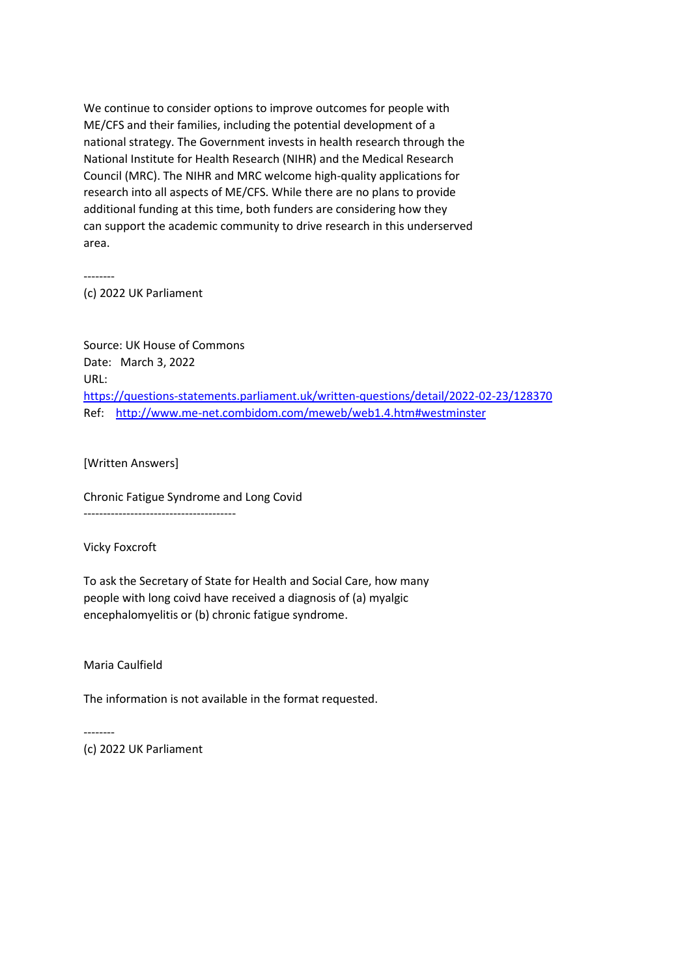We continue to consider options to improve outcomes for people with ME/CFS and their families, including the potential development of a national strategy. The Government invests in health research through the National Institute for Health Research (NIHR) and the Medical Research Council (MRC). The NIHR and MRC welcome high-quality applications for research into all aspects of ME/CFS. While there are no plans to provide additional funding at this time, both funders are considering how they can support the academic community to drive research in this underserved area.

--------

(c) 2022 UK Parliament

Source: UK House of Commons Date: March 3, 2022 URL: <https://questions-statements.parliament.uk/written-questions/detail/2022-02-23/128370> Ref: <http://www.me-net.combidom.com/meweb/web1.4.htm#westminster>

[Written Answers]

Chronic Fatigue Syndrome and Long Covid

---------------------------------------

Vicky Foxcroft

To ask the Secretary of State for Health and Social Care, how many people with long coivd have received a diagnosis of (a) myalgic encephalomyelitis or (b) chronic fatigue syndrome.

Maria Caulfield

--------

The information is not available in the format requested.

(c) 2022 UK Parliament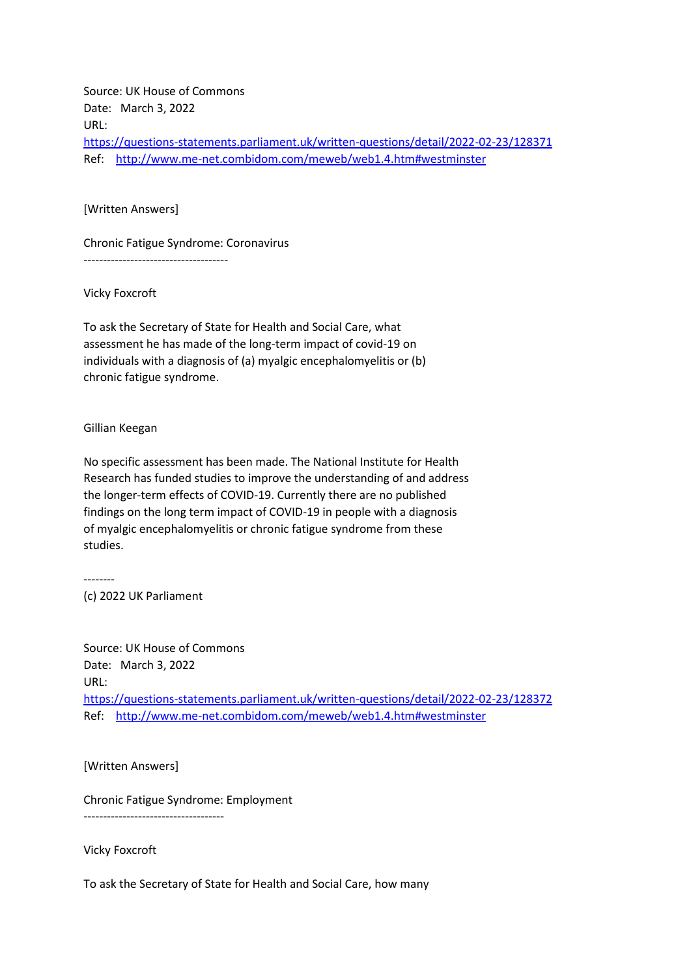Source: UK House of Commons Date: March 3, 2022 URL: <https://questions-statements.parliament.uk/written-questions/detail/2022-02-23/128371> Ref: <http://www.me-net.combidom.com/meweb/web1.4.htm#westminster>

[Written Answers]

Chronic Fatigue Syndrome: Coronavirus

-------------------------------------

Vicky Foxcroft

To ask the Secretary of State for Health and Social Care, what assessment he has made of the long-term impact of covid-19 on individuals with a diagnosis of (a) myalgic encephalomyelitis or (b) chronic fatigue syndrome.

Gillian Keegan

No specific assessment has been made. The National Institute for Health Research has funded studies to improve the understanding of and address the longer-term effects of COVID-19. Currently there are no published findings on the long term impact of COVID-19 in people with a diagnosis of myalgic encephalomyelitis or chronic fatigue syndrome from these studies.

-------- (c) 2022 UK Parliament

Source: UK House of Commons Date: March 3, 2022 URL: <https://questions-statements.parliament.uk/written-questions/detail/2022-02-23/128372> Ref: <http://www.me-net.combidom.com/meweb/web1.4.htm#westminster>

[Written Answers]

------------------------------------

Chronic Fatigue Syndrome: Employment

Vicky Foxcroft

To ask the Secretary of State for Health and Social Care, how many